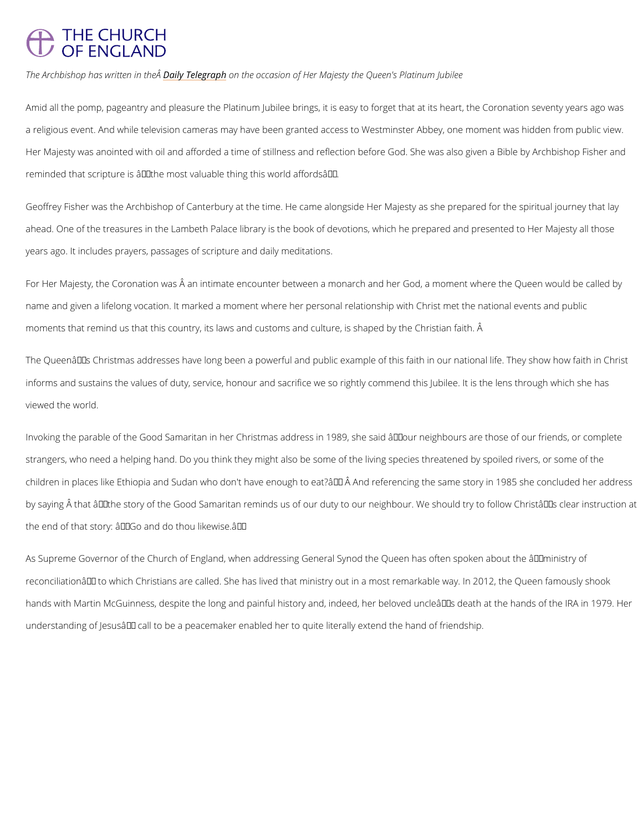## **THE CHURCH** OF ENGLAND

The Archbishop has wDraittenTendetophnea Aphhe occasion of Her Majesty the Queen's Platinum Jubilee

Amid all the pomp, pageantry and pleasure the Platinum Jubilee brings, it is easy to forget t a religious event. And while television cameras may have been granted access to Westminste Her Majesty was anointed with oil and afforded a time of stillness and reflection before God. reminded that scripture is  $\hat{a} \in \tilde{a}$ the most valuable thing this world affords $\hat{a} \in \tilde{a}$ .

Geoffrey Fisher was the Archbishop of Canterbury at the time. He came alongside Her Majest ahead. One of the treasures in the Lambeth Palace library is the book of devotions, which he years ago. It includes prayers, passages of scripture and daily meditations.

For Her Majesty, the Coronation was an intimate encounter between a monarch and her God name and given a lifelong vocation. It marked a moment where her personal relationship with moments that remind us that this country, its laws and customs and culture, is shaped by the

The Queenâ $\epsilon$ ™s Christmas addresses have long been a powerful and public example of this f informs and sustains the values of duty, service, honour and sacrifice we so rightly commend viewed the world.

Invoking the parable of the Good Samaritan in her Christmas address in 1989, she said  $\hat{a} \in \tilde{a}$ o strangers, who need a helping hand. Do you think they might also be some of the living spec children in places like Ethiopia and Sudan who don't have enough to eat?' Â And referenc by saying  $\hat{A}$  that  $\hat{a} \in \tilde{a}$  the story of the Good Samaritan reminds us of our duty to our neighbour the end of that story:  $\hat{a} \in C^{\infty}$  and do thou likewise.  $\hat{a} \in T^M$ 

As Supreme Governor of the Church of England, when addressing General Synod the Queen h reconciliation' to which Christians are called. She has lived that ministry out in a most re hands with Martin McGuinness, despite the long and painful history and, indeed, her beloved

understanding of Jesus' call to be a peacemaker enabled her to quite literally extend the